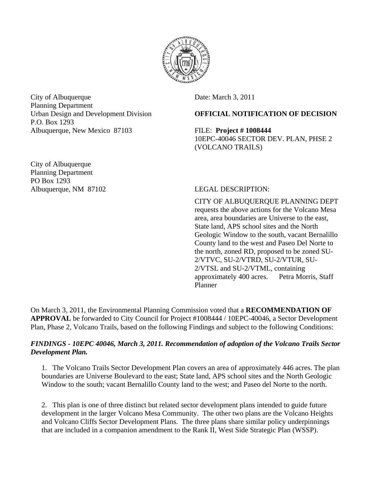

City of Albuquerque Date: March 3, 2011 Planning Department P.O. Box 1293 Albuquerque, New Mexico 87103 FILE: **Project # 1008444** 

City of Albuquerque Planning Department PO Box 1293 Albuquerque, NM 87102 LEGAL DESCRIPTION:

## Urban Design and Development Division **OFFICIAL NOTIFICATION OF DECISION**

 10EPC-40046 SECTOR DEV. PLAN, PHSE 2 (VOLCANO TRAILS)

CITY OF ALBUQUERQUE PLANNING DEPT requests the above actions for the Volcano Mesa area, area boundaries are Universe to the east, State land, APS school sites and the North Geologic Window to the south, vacant Bernalillo County land to the west and Paseo Del Norte to the north, zoned RD, proposed to be zoned SU-2/VTVC, SU-2/VTRD, SU-2/VTUR, SU-2/VTSL and SU-2/VTML, containing approximately 400 acres. Petra Morris, Staff Planner

On March 3, 2011, the Environmental Planning Commission voted that a **RECOMMENDATION OF APPROVAL** be forwarded to City Council for Project #1008444 / 10EPC-40046, a Sector Development Plan, Phase 2, Volcano Trails, based on the following Findings and subject to the following Conditions:

### *FINDINGS - 10EPC 40046, March 3, 2011. Recommendation of adoption of the Volcano Trails Sector Development Plan.*

1. The Volcano Trails Sector Development Plan covers an area of approximately 446 acres. The plan boundaries are Universe Boulevard to the east; State land, APS school sites and the North Geologic Window to the south; vacant Bernalillo County land to the west; and Paseo del Norte to the north.

2. This plan is one of three distinct but related sector development plans intended to guide future development in the larger Volcano Mesa Community. The other two plans are the Volcano Heights and Volcano Cliffs Sector Development Plans. The three plans share similar policy underpinnings that are included in a companion amendment to the Rank II, West Side Strategic Plan (WSSP).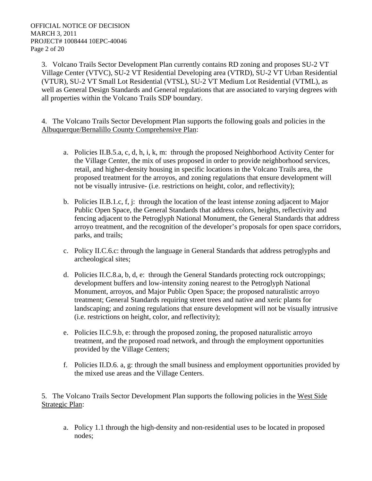3. Volcano Trails Sector Development Plan currently contains RD zoning and proposes SU-2 VT Village Center (VTVC), SU-2 VT Residential Developing area (VTRD), SU-2 VT Urban Residential (VTUR), SU-2 VT Small Lot Residential (VTSL), SU-2 VT Medium Lot Residential (VTML), as well as General Design Standards and General regulations that are associated to varying degrees with all properties within the Volcano Trails SDP boundary.

4. The Volcano Trails Sector Development Plan supports the following goals and policies in the Albuquerque/Bernalillo County Comprehensive Plan:

- a. Policies II.B.5.a, c, d, h, i, k, m: through the proposed Neighborhood Activity Center for the Village Center, the mix of uses proposed in order to provide neighborhood services, retail, and higher-density housing in specific locations in the Volcano Trails area, the proposed treatment for the arroyos, and zoning regulations that ensure development will not be visually intrusive- (i.e. restrictions on height, color, and reflectivity);
- b. Policies II.B.1.c, f, j: through the location of the least intense zoning adjacent to Major Public Open Space, the General Standards that address colors, heights, reflectivity and fencing adjacent to the Petroglyph National Monument, the General Standards that address arroyo treatment, and the recognition of the developer's proposals for open space corridors, parks, and trails;
- c. Policy II.C.6.c: through the language in General Standards that address petroglyphs and archeological sites;
- d. Policies II.C.8.a, b, d, e: through the General Standards protecting rock outcroppings; development buffers and low-intensity zoning nearest to the Petroglyph National Monument, arroyos, and Major Public Open Space; the proposed naturalistic arroyo treatment; General Standards requiring street trees and native and xeric plants for landscaping; and zoning regulations that ensure development will not be visually intrusive (i.e. restrictions on height, color, and reflectivity);
- e. Policies II.C.9.b, e: through the proposed zoning, the proposed naturalistic arroyo treatment, and the proposed road network, and through the employment opportunities provided by the Village Centers;
- f. Policies II.D.6. a, g: through the small business and employment opportunities provided by the mixed use areas and the Village Centers.

5. The Volcano Trails Sector Development Plan supports the following policies in the West Side Strategic Plan:

a. Policy 1.1 through the high-density and non-residential uses to be located in proposed nodes;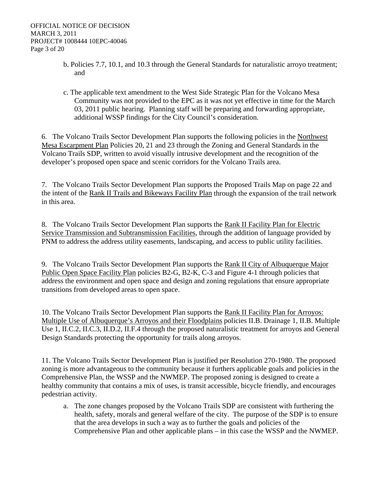- b. Policies 7.7, 10.1, and 10.3 through the General Standards for naturalistic arroyo treatment; and
- c. The applicable text amendment to the West Side Strategic Plan for the Volcano Mesa Community was not provided to the EPC as it was not yet effective in time for the March 03, 2011 public hearing. Planning staff will be preparing and forwarding appropriate, additional WSSP findings for the City Council's consideration.

6. The Volcano Trails Sector Development Plan supports the following policies in the Northwest Mesa Escarpment Plan Policies 20, 21 and 23 through the Zoning and General Standards in the Volcano Trails SDP, written to avoid visually intrusive development and the recognition of the developer's proposed open space and scenic corridors for the Volcano Trails area.

7. The Volcano Trails Sector Development Plan supports the Proposed Trails Map on page 22 and the intent of the Rank II Trails and Bikeways Facility Plan through the expansion of the trail network in this area.

8. The Volcano Trails Sector Development Plan supports the Rank II Facility Plan for Electric Service Transmission and Subtransmission Facilities, through the addition of language provided by PNM to address the address utility easements, landscaping, and access to public utility facilities.

9. The Volcano Trails Sector Development Plan supports the Rank II City of Albuquerque Major Public Open Space Facility Plan policies B2-G, B2-K, C-3 and Figure 4-1 through policies that address the environment and open space and design and zoning regulations that ensure appropriate transitions from developed areas to open space.

10. The Volcano Trails Sector Development Plan supports the Rank II Facility Plan for Arroyos: Multiple Use of Albuquerque's Arroyos and their Floodplains policies II.B. Drainage 1, II.B. Multiple Use 1, II.C.2, II.C.3, II.D.2, II.F.4 through the proposed naturalistic treatment for arroyos and General Design Standards protecting the opportunity for trails along arroyos.

11. The Volcano Trails Sector Development Plan is justified per Resolution 270-1980. The proposed zoning is more advantageous to the community because it furthers applicable goals and policies in the Comprehensive Plan, the WSSP and the NWMEP. The proposed zoning is designed to create a healthy community that contains a mix of uses, is transit accessible, bicycle friendly, and encourages pedestrian activity.

a. The zone changes proposed by the Volcano Trails SDP are consistent with furthering the health, safety, morals and general welfare of the city. The purpose of the SDP is to ensure that the area develops in such a way as to further the goals and policies of the Comprehensive Plan and other applicable plans – in this case the WSSP and the NWMEP.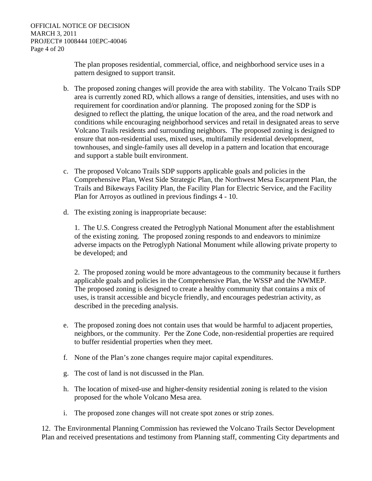The plan proposes residential, commercial, office, and neighborhood service uses in a pattern designed to support transit.

- b. The proposed zoning changes will provide the area with stability. The Volcano Trails SDP area is currently zoned RD, which allows a range of densities, intensities, and uses with no requirement for coordination and/or planning. The proposed zoning for the SDP is designed to reflect the platting, the unique location of the area, and the road network and conditions while encouraging neighborhood services and retail in designated areas to serve Volcano Trails residents and surrounding neighbors. The proposed zoning is designed to ensure that non-residential uses, mixed uses, multifamily residential development, townhouses, and single-family uses all develop in a pattern and location that encourage and support a stable built environment.
- c. The proposed Volcano Trails SDP supports applicable goals and policies in the Comprehensive Plan, West Side Strategic Plan, the Northwest Mesa Escarpment Plan, the Trails and Bikeways Facility Plan, the Facility Plan for Electric Service, and the Facility Plan for Arroyos as outlined in previous findings 4 - 10.
- d. The existing zoning is inappropriate because:

1. The U.S. Congress created the Petroglyph National Monument after the establishment of the existing zoning. The proposed zoning responds to and endeavors to minimize adverse impacts on the Petroglyph National Monument while allowing private property to be developed; and

2. The proposed zoning would be more advantageous to the community because it furthers applicable goals and policies in the Comprehensive Plan, the WSSP and the NWMEP. The proposed zoning is designed to create a healthy community that contains a mix of uses, is transit accessible and bicycle friendly, and encourages pedestrian activity, as described in the preceding analysis.

- e. The proposed zoning does not contain uses that would be harmful to adjacent properties, neighbors, or the community. Per the Zone Code, non-residential properties are required to buffer residential properties when they meet.
- f. None of the Plan's zone changes require major capital expenditures.
- g. The cost of land is not discussed in the Plan.
- h. The location of mixed-use and higher-density residential zoning is related to the vision proposed for the whole Volcano Mesa area.
- i. The proposed zone changes will not create spot zones or strip zones.

12. The Environmental Planning Commission has reviewed the Volcano Trails Sector Development Plan and received presentations and testimony from Planning staff, commenting City departments and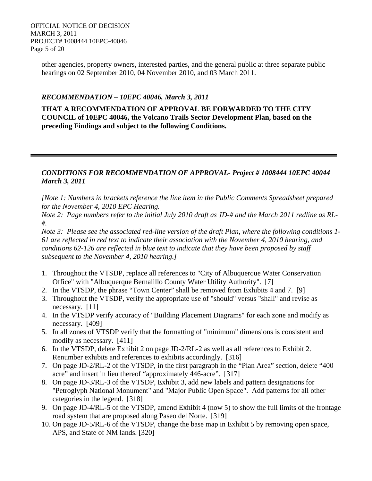OFFICIAL NOTICE OF DECISION MARCH 3, 2011 PROJECT# 1008444 10EPC-40046 Page 5 of 20

> other agencies, property owners, interested parties, and the general public at three separate public hearings on 02 September 2010, 04 November 2010, and 03 March 2011.

#### *RECOMMENDATION – 10EPC 40046, March 3, 2011*

**THAT A RECOMMENDATION OF APPROVAL BE FORWARDED TO THE CITY COUNCIL of 10EPC 40046, the Volcano Trails Sector Development Plan, based on the preceding Findings and subject to the following Conditions.**

#### *CONDITIONS FOR RECOMMENDATION OF APPROVAL- Project # 1008444 10EPC 40044 March 3, 2011*

*[Note 1: Numbers in brackets reference the line item in the Public Comments Spreadsheet prepared for the November 4, 2010 EPC Hearing.* 

*Note 2: Page numbers refer to the initial July 2010 draft as JD-# and the March 2011 redline as RL- #.* 

*Note 3: Please see the associated red-line version of the draft Plan, where the following conditions 1- 61 are reflected in red text to indicate their association with the November 4, 2010 hearing, and conditions 62-126 are reflected in blue text to indicate that they have been proposed by staff subsequent to the November 4, 2010 hearing.]* 

- 1. Throughout the VTSDP, replace all references to "City of Albuquerque Water Conservation Office" with "Albuquerque Bernalillo County Water Utility Authority". [7]
- 2. In the VTSDP, the phrase "Town Center" shall be removed from Exhibits 4 and 7. [9]
- 3. Throughout the VTSDP, verify the appropriate use of "should" versus "shall" and revise as necessary. [11]
- 4. In the VTSDP verify accuracy of "Building Placement Diagrams" for each zone and modify as necessary. [409]
- 5. In all zones of VTSDP verify that the formatting of "minimum" dimensions is consistent and modify as necessary. [411]
- 6. In the VTSDP, delete Exhibit 2 on page JD-2/RL-2 as well as all references to Exhibit 2. Renumber exhibits and references to exhibits accordingly. [316]
- 7. On page JD-2/RL-2 of the VTSDP, in the first paragraph in the "Plan Area" section, delete "400 acre" and insert in lieu thereof "approximately 446-acre". [317]
- 8. On page JD-3/RL-3 of the VTSDP, Exhibit 3, add new labels and pattern designations for "Petroglyph National Monument" and "Major Public Open Space". Add patterns for all other categories in the legend. [318]
- 9. On page JD-4/RL-5 of the VTSDP, amend Exhibit 4 (now 5) to show the full limits of the frontage road system that are proposed along Paseo del Norte. [319]
- 10. On page JD-5/RL-6 of the VTSDP, change the base map in Exhibit 5 by removing open space, APS, and State of NM lands. [320]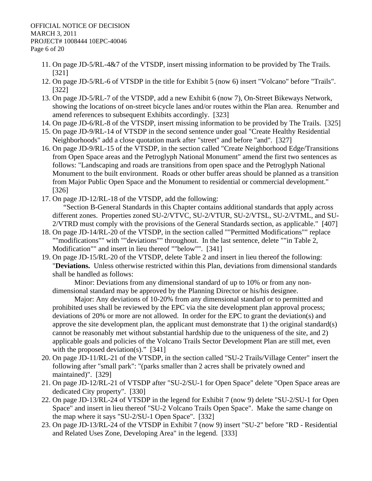- 11. On page JD-5/RL-4&7 of the VTSDP, insert missing information to be provided by The Trails. [321]
- 12. On page JD-5/RL-6 of VTSDP in the title for Exhibit 5 (now 6) insert "Volcano" before "Trails". [322]
- 13. On page JD-5/RL-7 of the VTSDP, add a new Exhibit 6 (now 7), On-Street Bikeways Network, showing the locations of on-street bicycle lanes and/or routes within the Plan area. Renumber and amend references to subsequent Exhibits accordingly. [323]
- 14. On page JD-6/RL-8 of the VTSDP, insert missing information to be provided by The Trails. [325]
- 15. On page JD-9/RL-14 of VTSDP in the second sentence under goal "Create Healthy Residential Neighborhoods" add a close quotation mark after "street" and before "and". [327]
- 16. On page JD-9/RL-15 of the VTSDP, in the section called "Create Neighborhood Edge/Transitions from Open Space areas and the Petroglyph National Monument" amend the first two sentences as follows: "Landscaping and roads are transitions from open space and the Petroglyph National Monument to the built environment. Roads or other buffer areas should be planned as a transition from Major Public Open Space and the Monument to residential or commercial development." [326]
- 17. On page JD-12/RL-18 of the VTSDP, add the following: "Section B-General Standards in this Chapter contains additional standards that apply across different zones. Properties zoned SU-2/VTVC, SU-2/VTUR, SU-2/VTSL, SU-2/VTML, and SU-2/VTRD must comply with the provisions of the General Standards section, as applicable." [407]
- 18. On page JD-14/RL-20 of the VTSDP, in the section called ""Permitted Modifications"" replace ""modifications"" with ""deviations"" throughout. In the last sentence, delete ""in Table 2, Modification"" and insert in lieu thereof ""below"". [341]
- 19. On page JD-15/RL-20 of the VTSDP, delete Table 2 and insert in lieu thereof the following: "**Deviations.** Unless otherwise restricted within this Plan, deviations from dimensional standards shall be handled as follows:

Minor: Deviations from any dimensional standard of up to 10% or from any nondimensional standard may be approved by the Planning Director or his/his designee.

Major: Any deviations of 10-20% from any dimensional standard or to permitted and prohibited uses shall be reviewed by the EPC via the site development plan approval process; deviations of 20% or more are not allowed. In order for the EPC to grant the deviation(s) and approve the site development plan, the applicant must demonstrate that 1) the original standard( $s$ ) cannot be reasonably met without substantial hardship due to the uniqueness of the site, and 2) applicable goals and policies of the Volcano Trails Sector Development Plan are still met, even with the proposed deviation(s)."  $[341]$ 

- 20. On page JD-11/RL-21 of the VTSDP, in the section called "SU-2 Trails/Village Center" insert the following after "small park": "(parks smaller than 2 acres shall be privately owned and maintained)". [329]
- 21. On page JD-12/RL-21 of VTSDP after "SU-2/SU-1 for Open Space" delete "Open Space areas are dedicated City property". [330]
- 22. On page JD-13/RL-24 of VTSDP in the legend for Exhibit 7 (now 9) delete "SU-2/SU-1 for Open Space" and insert in lieu thereof "SU-2 Volcano Trails Open Space". Make the same change on the map where it says "SU-2/SU-1 Open Space". [332]
- 23. On page JD-13/RL-24 of the VTSDP in Exhibit 7 (now 9) insert "SU-2" before "RD Residential and Related Uses Zone, Developing Area" in the legend. [333]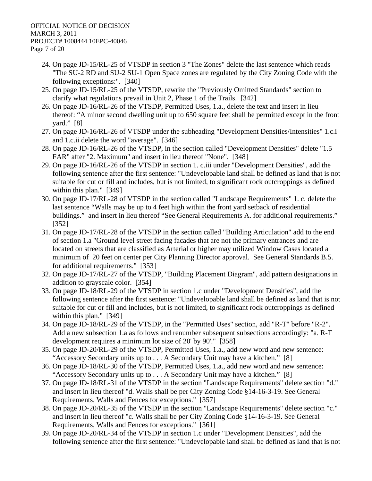- 24. On page JD-15/RL-25 of VTSDP in section 3 "The Zones" delete the last sentence which reads "The SU-2 RD and SU-2 SU-1 Open Space zones are regulated by the City Zoning Code with the following exceptions:". [340]
- 25. On page JD-15/RL-25 of the VTSDP, rewrite the "Previously Omitted Standards" section to clarify what regulations prevail in Unit 2, Phase 1 of the Trails. [342]
- 26. On page JD-16/RL-26 of the VTSDP, Permitted Uses, 1.a., delete the text and insert in lieu thereof: "A minor second dwelling unit up to 650 square feet shall be permitted except in the front yard." [8]
- 27. On page JD-16/RL-26 of VTSDP under the subheading "Development Densities/Intensities" 1.c.i and 1.c.ii delete the word "average". [346]
- 28. On page JD-16/RL-26 of the VTSDP, in the section called "Development Densities" delete "1.5 FAR" after "2. Maximum" and insert in lieu thereof "None". [348]
- 29. On page JD-16/RL-26 of the VTSDP in section 1. c.iii under "Development Densities", add the following sentence after the first sentence: "Undevelopable land shall be defined as land that is not suitable for cut or fill and includes, but is not limited, to significant rock outcroppings as defined within this plan." [349]
- 30. On page JD-17/RL-28 of VTSDP in the section called "Landscape Requirements" 1. c. delete the last sentence "Walls may be up to 4 feet high within the front yard setback of residential buildings." and insert in lieu thereof "See General Requirements A. for additional requirements." [352]
- 31. On page JD-17/RL-28 of the VTSDP in the section called "Building Articulation" add to the end of section 1.a "Ground level street facing facades that are not the primary entrances and are located on streets that are classified as Arterial or higher may utilized Window Cases located a minimum of 20 feet on center per City Planning Director approval. See General Standards B.5. for additional requirements." [353]
- 32. On page JD-17/RL-27 of the VTSDP, "Building Placement Diagram", add pattern designations in addition to grayscale color. [354]
- 33. On page JD-18/RL-29 of the VTSDP in section 1.c under "Development Densities", add the following sentence after the first sentence: "Undevelopable land shall be defined as land that is not suitable for cut or fill and includes, but is not limited, to significant rock outcroppings as defined within this plan." [349]
- 34. On page JD-18/RL-29 of the VTSDP, in the "Permitted Uses" section, add "R-T" before "R-2". Add a new subsection 1.a as follows and renumber subsequent subsections accordingly: "a. R-T development requires a minimum lot size of 20' by 90'." [358]
- 35. On page JD-20/RL-29 of the VTSDP, Permitted Uses, 1.a., add new word and new sentence: "Accessory Secondary units up to . . . A Secondary Unit may have a kitchen." [8]
- 36. On page JD-18/RL-30 of the VTSDP, Permitted Uses, 1.a., add new word and new sentence: "Accessory Secondary units up to . . . A Secondary Unit may have a kitchen." [8]
- 37. On page JD-18/RL-31 of the VTSDP in the section "Landscape Requirements" delete section "d." and insert in lieu thereof "d. Walls shall be per City Zoning Code §14-16-3-19. See General Requirements, Walls and Fences for exceptions." [357]
- 38. On page JD-20/RL-35 of the VTSDP in the section "Landscape Requirements" delete section "c." and insert in lieu thereof "c. Walls shall be per City Zoning Code §14-16-3-19. See General Requirements, Walls and Fences for exceptions." [361]
- 39. On page JD-20/RL-34 of the VTSDP in section 1.c under "Development Densities", add the following sentence after the first sentence: "Undevelopable land shall be defined as land that is not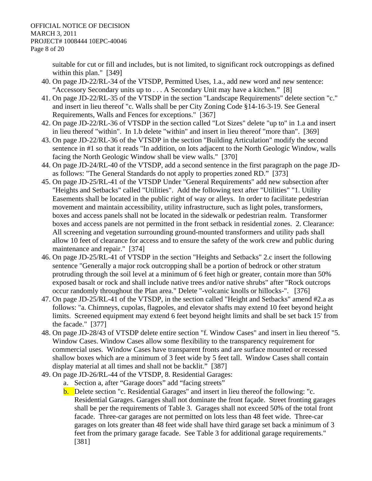suitable for cut or fill and includes, but is not limited, to significant rock outcroppings as defined within this plan." [349]

- 40. On page JD-22/RL-34 of the VTSDP, Permitted Uses, 1.a., add new word and new sentence: "Accessory Secondary units up to . . . A Secondary Unit may have a kitchen." [8]
- 41. On page JD-22/RL-35 of the VTSDP in the section "Landscape Requirements" delete section "c." and insert in lieu thereof "c. Walls shall be per City Zoning Code §14-16-3-19. See General Requirements, Walls and Fences for exceptions." [367]
- 42. On page JD-22/RL-36 of VTSDP in the section called "Lot Sizes" delete "up to" in 1.a and insert in lieu thereof "within". In 1.b delete "within" and insert in lieu thereof "more than". [369]
- 43. On page JD-22/RL-36 of the VTSDP in the section "Building Articulation" modify the second sentence in #1 so that it reads "In addition, on lots adjacent to the North Geologic Window, walls facing the North Geologic Window shall be view walls." [370]
- 44. On page JD-24/RL-40 of the VTSDP, add a second sentence in the first paragraph on the page JDas follows: "The General Standards do not apply to properties zoned RD." [373]
- 45. On page JD-25/RL-41 of the VTSDP Under "General Requirements" add new subsection after "Heights and Setbacks" called "Utilities". Add the following text after "Utilities" "1. Utility Easements shall be located in the public right of way or alleys. In order to facilitate pedestrian movement and maintain accessibility, utility infrastructure, such as light poles, transformers, boxes and access panels shall not be located in the sidewalk or pedestrian realm. Transformer boxes and access panels are not permitted in the front setback in residential zones. 2. Clearance: All screening and vegetation surrounding ground-mounted transformers and utility pads shall allow 10 feet of clearance for access and to ensure the safety of the work crew and public during maintenance and repair." [374]
- 46. On page JD-25/RL-41 of VTSDP in the section "Heights and Setbacks" 2.c insert the following sentence "Generally a major rock outcropping shall be a portion of bedrock or other stratum protruding through the soil level at a minimum of 6 feet high or greater, contain more than 50% exposed basalt or rock and shall include native trees and/or native shrubs" after "Rock outcrops occur randomly throughout the Plan area." Delete "-volcanic knolls or hillocks-". [376]
- 47. On page JD-25/RL-41 of the VTSDP, in the section called "Height and Setbacks" amend #2.a as follows: "a. Chimneys, cupolas, flagpoles, and elevator shafts may extend 10 feet beyond height limits. Screened equipment may extend 6 feet beyond height limits and shall be set back 15' from the facade." [377]
- 48. On page JD-28/43 of VTSDP delete entire section "f. Window Cases" and insert in lieu thereof "5. Window Cases. Window Cases allow some flexibility to the transparency requirement for commercial uses. Window Cases have transparent fronts and are surface mounted or recessed shallow boxes which are a minimum of 3 feet wide by 5 feet tall. Window Cases shall contain display material at all times and shall not be backlit." [387]
- 49. On page JD-26/RL-44 of the VTSDP, 8. Residential Garages:
	- a. Section a, after "Garage doors" add "facing streets"
	- b. Delete section "c. Residential Garages" and insert in lieu thereof the following: "c. Residential Garages. Garages shall not dominate the front façade. Street fronting garages shall be per the requirements of Table 3. Garages shall not exceed 50% of the total front facade. Three-car garages are not permitted on lots less than 48 feet wide. Three-car garages on lots greater than 48 feet wide shall have third garage set back a minimum of 3 feet from the primary garage facade. See Table 3 for additional garage requirements." [381]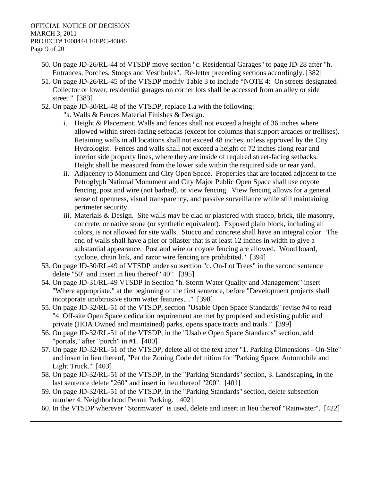- 50. On page JD-26/RL-44 of VTSDP move section "c. Residential Garages" to page JD-28 after "h. Entrances, Porches, Stoops and Vestibules". Re-letter preceding sections accordingly. [382]
- 51. On page JD-26/RL-45 of the VTSDP modify Table 3 to include "NOTE 4: On streets designated Collector or lower, residential garages on corner lots shall be accessed from an alley or side street." [383]
- 52. On page JD-30/RL-48 of the VTSDP, replace 1.a with the following:
	- "a. Walls & Fences Material Finishes & Design.
	- i. Height & Placement. Walls and fences shall not exceed a height of 36 inches where allowed within street-facing setbacks (except for columns that support arcades or trellises). Retaining walls in all locations shall not exceed 48 inches, unless approved by the City Hydrologist. Fences and walls shall not exceed a height of 72 inches along rear and interior side property lines, where they are inside of required street-facing setbacks. Height shall be measured from the lower side within the required side or rear yard.
	- ii. Adjacency to Monument and City Open Space. Properties that are located adjacent to the Petroglyph National Monument and City Major Public Open Space shall use coyote fencing, post and wire (not barbed), or view fencing. View fencing allows for a general sense of openness, visual transparency, and passive surveillance while still maintaining perimeter security.
	- iii. Materials & Design. Site walls may be clad or plastered with stucco, brick, tile masonry, concrete, or native stone (or synthetic equivalent). Exposed plain block, including all colors, is not allowed for site walls. Stucco and concrete shall have an integral color. The end of walls shall have a pier or pilaster that is at least 12 inches in width to give a substantial appearance. Post and wire or coyote fencing are allowed. Wood board, cyclone, chain link, and razor wire fencing are prohibited." [394]
- 53. On page JD-30/RL-49 of VTSDP under subsection "c. On-Lot Trees" in the second sentence delete "50" and insert in lieu thereof "40". [395]
- 54. On page JD-31/RL-49 VTSDP in Section "h. Storm Water Quality and Management" insert "Where appropriate," at the beginning of the first sentence, before "Development projects shall incorporate unobtrusive storm water features…" [398]
- 55. On page JD-32/RL-51 of the VTSDP, section "Usable Open Space Standards" revise #4 to read "4. Off-site Open Space dedication requirement are met by proposed and existing public and private (HOA Owned and maintained) parks, opens space tracts and trails." [399]
- 56. On page JD-32/RL-51 of the VTSDP, in the "Usable Open Space Standards" section, add "portals," after "porch" in #1. [400]
- 57. On page JD-32/RL-51 of the VTSDP, delete all of the text after "1. Parking Dimensions On-Site" and insert in lieu thereof, "Per the Zoning Code definition for "Parking Space, Automobile and Light Truck." [403]
- 58. On page JD-32/RL-51 of the VTSDP, in the "Parking Standards" section, 3. Landscaping, in the last sentence delete "260" and insert in lieu thereof "200". [401]
- 59. On page JD-32/RL-51 of the VTSDP, in the "Parking Standards" section, delete subsection number 4. Neighborhood Permit Parking. [402]
- 60. In the VTSDP wherever "Stormwater" is used, delete and insert in lieu thereof "Rainwater". [422]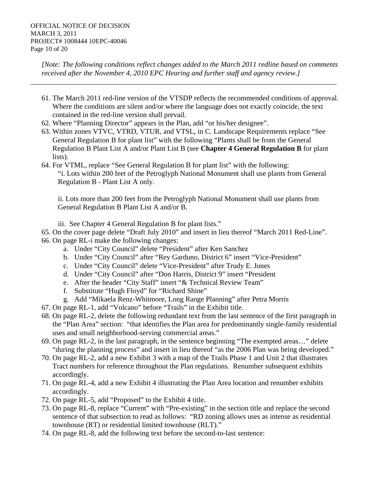*[Note: The following conditions reflect changes added to the March 2011 redline based on comments received after the November 4, 2010 EPC Hearing and further staff and agency review.]* 

*\_\_\_\_\_\_\_\_\_\_\_\_\_\_\_\_\_\_\_\_\_\_\_\_\_\_\_\_\_\_\_\_\_\_\_\_\_\_\_\_\_\_\_\_\_\_\_\_\_\_\_\_\_\_\_\_\_\_\_\_\_\_\_\_\_\_\_\_\_\_\_\_\_\_\_\_\_\_\_\_\_\_\_\_* 

- 61. The March 2011 red-line version of the VTSDP reflects the recommended conditions of approval. Where the conditions are silent and/or where the language does not exactly coincide, the text contained in the red-line version shall prevail.
- 62. Where "Planning Director" appears in the Plan, add "or his/her designee".
- 63. Within zones VTVC, VTRD, VTUR, and VTSL, in C. Landscape Requirements replace "See General Regulation B for plant list" with the following "Plants shall be from the General Regulation B Plant List A and/or Plant List B (see **Chapter 4 General Regulation B** for plant lists).
- 64. For VTML, replace "See General Regulation B for plant list" with the following: "i. Lots within 200 feet of the Petroglyph National Monument shall use plants from General Regulation B - Plant List A only.

ii. Lots more than 200 feet from the Petroglyph National Monument shall use plants from General Regulation B Plant List A and/or B.

iii. See Chapter 4 General Regulation B for plant lists."

65. On the cover page delete "Draft July 2010" and insert in lieu thereof "March 2011 Red-Line". 66. On page RL-i make the following changes:

- a. Under "City Council" delete "President" after Ken Sanchez
- b. Under "City Council" after "Rey Garduno, District 6" insert "Vice-President"
- c. Under "City Council" delete "Vice-President" after Trudy E. Jones
- d. Under "City Council" after "Don Harris, District 9" insert "President
- e. After the header "City Staff" insert "& Technical Review Team"
- f. Substitute "Hugh Floyd" for "Richard Shine"
- g. Add "Mikaela Renz-Whitmore, Long Range Planning" after Petra Morris
- 67. On page RL-1, add "Volcano" before "Trails" in the Exhibit title.
- 68. On page RL-2, delete the following redundant text from the last sentence of the first paragraph in the "Plan Area" section: "that identifies the Plan area for predominantly single-family residential uses and small neighborhood-serving commercial areas."
- 69. On page RL-2, in the last paragraph, in the sentence beginning "The exempted areas…" delete "during the planning process" and insert in lieu thereof "as the 2006 Plan was being developed."
- 70. On page RL-2, add a new Exhibit 3 with a map of the Trails Phase 1 and Unit 2 that illustrates Tract numbers for reference throughout the Plan regulations. Renumber subsequent exhibits accordingly.
- 71. On page RL-4, add a new Exhibit 4 illustrating the Plan Area location and renumber exhibits accordingly.
- 72. On page RL-5, add "Proposed" to the Exhibit 4 title.
- 73. On page RL-8, replace "Current" with "Pre-existing" in the section title and replace the second sentence of that subsection to read as follows: "RD zoning allows uses as intense as residential townhouse (RT) or residential limited townhouse (RLT)."
- 74. On page RL-8, add the following text before the second-to-last sentence: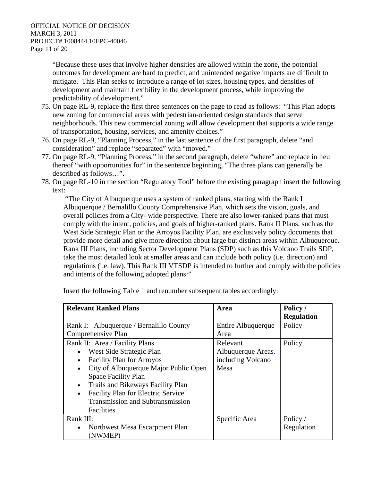"Because these uses that involve higher densities are allowed within the zone, the potential outcomes for development are hard to predict, and unintended negative impacts are difficult to mitigate. This Plan seeks to introduce a range of lot sizes, housing types, and densities of development and maintain flexibility in the development process, while improving the predictability of development."

- 75. On page RL-9, replace the first three sentences on the page to read as follows: "This Plan adopts new zoning for commercial areas with pedestrian-oriented design standards that serve neighborhoods. This new commercial zoning will allow development that supports a wide range of transportation, housing, services, and amenity choices."
- 76. On page RL-9, "Planning Process," in the last sentence of the first paragraph, delete "and consideration" and replace "separated" with "moved."
- 77. On page RL-9, "Planning Process," in the second paragraph, delete "where" and replace in lieu thereof "with opportunities for" in the sentence beginning, "The three plans can generally be described as follows…".
- 78. On page RL-10 in the section "Regulatory Tool" before the existing paragraph insert the following text:

 "The City of Albuquerque uses a system of ranked plans, starting with the Rank I Albuquerque / Bernalillo County Comprehensive Plan, which sets the vision, goals, and overall policies from a City- wide perspective. There are also lower-ranked plans that must comply with the intent, policies, and goals of higher-ranked plans. Rank II Plans, such as the West Side Strategic Plan or the Arroyos Facility Plan, are exclusively policy documents that provide more detail and give more direction about large but distinct areas within Albuquerque. Rank III Plans, including Sector Development Plans (SDP) such as this Volcano Trails SDP, take the most detailed look at smaller areas and can include both policy (i.e. direction) and regulations (i.e. law). This Rank III VTSDP is intended to further and comply with the policies and intents of the following adopted plans:"

| <b>Relevant Ranked Plans</b>                           | Area               | Policy /          |
|--------------------------------------------------------|--------------------|-------------------|
|                                                        |                    | <b>Regulation</b> |
| Rank I: Albuquerque / Bernalillo County                | Entire Albuquerque | Policy            |
| Comprehensive Plan                                     | Area               |                   |
| Rank II: Area / Facility Plans                         | Relevant           | Policy            |
| West Side Strategic Plan<br>$\bullet$                  | Albuquerque Areas, |                   |
| <b>Facility Plan for Arroyos</b><br>$\bullet$          | including Volcano  |                   |
| City of Albuquerque Major Public Open<br>$\bullet$     | Mesa               |                   |
| <b>Space Facility Plan</b>                             |                    |                   |
| Trails and Bikeways Facility Plan<br>$\bullet$         |                    |                   |
| <b>Facility Plan for Electric Service</b><br>$\bullet$ |                    |                   |
| <b>Transmission and Subtransmission</b>                |                    |                   |
| Facilities                                             |                    |                   |
| Rank III:                                              | Specific Area      | Policy /          |
| Northwest Mesa Escarpment Plan<br>$\bullet$            |                    | Regulation        |
| (NWMEP)                                                |                    |                   |

Insert the following Table 1 and renumber subsequent tables accordingly: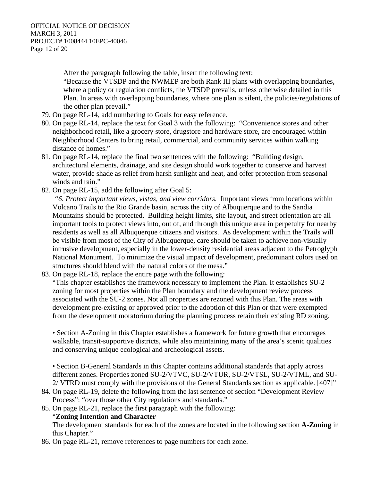After the paragraph following the table, insert the following text:

"Because the VTSDP and the NWMEP are both Rank III plans with overlapping boundaries, where a policy or regulation conflicts, the VTSDP prevails, unless otherwise detailed in this Plan. In areas with overlapping boundaries, where one plan is silent, the policies/regulations of the other plan prevail."

- 79. On page RL-14, add numbering to Goals for easy reference.
- 80. On page RL-14, replace the text for Goal 3 with the following: "Convenience stores and other neighborhood retail, like a grocery store, drugstore and hardware store, are encouraged within Neighborhood Centers to bring retail, commercial, and community services within walking distance of homes."
- 81. On page RL-14, replace the final two sentences with the following: "Building design, architectural elements, drainage, and site design should work together to conserve and harvest water, provide shade as relief from harsh sunlight and heat, and offer protection from seasonal winds and rain."
- 82. On page RL-15, add the following after Goal 5:

 *"6. Protect important views, vistas, and view corridors.* Important views from locations within Volcano Trails to the Rio Grande basin, across the city of Albuquerque and to the Sandia Mountains should be protected. Building height limits, site layout, and street orientation are all important tools to protect views into, out of, and through this unique area in perpetuity for nearby residents as well as all Albuquerque citizens and visitors. As development within the Trails will be visible from most of the City of Albuquerque, care should be taken to achieve non-visually intrusive development, especially in the lower-density residential areas adjacent to the Petroglyph National Monument. To minimize the visual impact of development, predominant colors used on structures should blend with the natural colors of the mesa."

83. On page RL-18, replace the entire page with the following:

"This chapter establishes the framework necessary to implement the Plan. It establishes SU-2 zoning for most properties within the Plan boundary and the development review process associated with the SU-2 zones. Not all properties are rezoned with this Plan. The areas with development pre-existing or approved prior to the adoption of this Plan or that were exempted from the development moratorium during the planning process retain their existing RD zoning.

• Section A-Zoning in this Chapter establishes a framework for future growth that encourages walkable, transit-supportive districts, while also maintaining many of the area's scenic qualities and conserving unique ecological and archeological assets.

• Section B-General Standards in this Chapter contains additional standards that apply across different zones. Properties zoned SU-2/VTVC, SU-2/VTUR, SU-2/VTSL, SU-2/VTML, and SU-2/ VTRD must comply with the provisions of the General Standards section as applicable. [407]"

- 84. On page RL-19, delete the following from the last sentence of section "Development Review Process": "over those other City regulations and standards."
- 85. On page RL-21, replace the first paragraph with the following:

### "**Zoning Intention and Character**

The development standards for each of the zones are located in the following section **A-Zoning** in this Chapter."

86. On page RL-21, remove references to page numbers for each zone.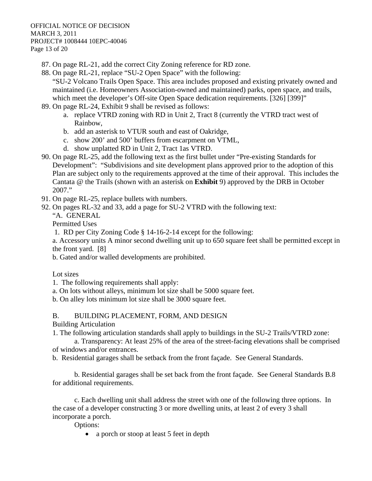87. On page RL-21, add the correct City Zoning reference for RD zone.

88. On page RL-21, replace "SU-2 Open Space" with the following:

"SU-2 Volcano Trails Open Space. This area includes proposed and existing privately owned and maintained (i.e. Homeowners Association-owned and maintained) parks, open space, and trails, which meet the developer's Off-site Open Space dedication requirements. [326] [399]"

- 89. On page RL-24, Exhibit 9 shall be revised as follows:
	- a. replace VTRD zoning with RD in Unit 2, Tract 8 (currently the VTRD tract west of Rainbow,
	- b. add an asterisk to VTUR south and east of Oakridge,
	- c. show 200' and 500' buffers from escarpment on VTML,
	- d. show unplatted RD in Unit 2, Tract 1as VTRD.
- 90. On page RL-25, add the following text as the first bullet under "Pre-existing Standards for Development": "Subdivisions and site development plans approved prior to the adoption of this Plan are subject only to the requirements approved at the time of their approval. This includes the Cantata @ the Trails (shown with an asterisk on **Exhibit** 9) approved by the DRB in October 2007."
- 91. On page RL-25, replace bullets with numbers.
- 92. On pages RL-32 and 33, add a page for SU-2 VTRD with the following text:

"A. GENERAL

Permitted Uses

1. RD per City Zoning Code § 14-16-2-14 except for the following:

a. Accessory units A minor second dwelling unit up to 650 square feet shall be permitted except in the front yard. [8]

b. Gated and/or walled developments are prohibited.

Lot sizes

- 1. The following requirements shall apply:
- a. On lots without alleys, minimum lot size shall be 5000 square feet.
- b. On alley lots minimum lot size shall be 3000 square feet.

B. BUILDING PLACEMENT, FORM, AND DESIGN

Building Articulation

1. The following articulation standards shall apply to buildings in the SU-2 Trails/VTRD zone:

 a. Transparency: At least 25% of the area of the street-facing elevations shall be comprised of windows and/or entrances.

b. Residential garages shall be setback from the front façade. See General Standards.

 b. Residential garages shall be set back from the front façade. See General Standards B.8 for additional requirements.

 c. Each dwelling unit shall address the street with one of the following three options. In the case of a developer constructing 3 or more dwelling units, at least 2 of every 3 shall incorporate a porch.

Options:

• a porch or stoop at least 5 feet in depth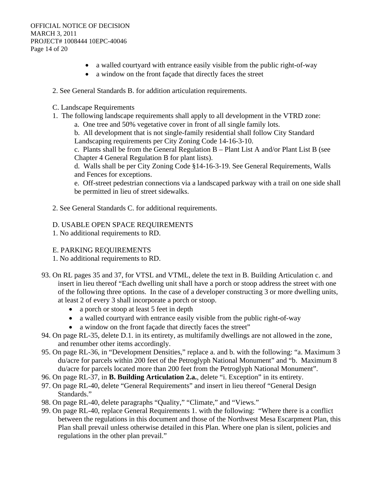- a walled courtyard with entrance easily visible from the public right-of-way
- a window on the front façade that directly faces the street
- 2. See General Standards B. for addition articulation requirements.
- C. Landscape Requirements
- 1. The following landscape requirements shall apply to all development in the VTRD zone:
	- a. One tree and 50% vegetative cover in front of all single family lots.

b. All development that is not single-family residential shall follow City Standard Landscaping requirements per City Zoning Code 14-16-3-10.

c. Plants shall be from the General Regulation B – Plant List A and/or Plant List B (see Chapter 4 General Regulation B for plant lists).

d. Walls shall be per City Zoning Code §14-16-3-19. See General Requirements, Walls and Fences for exceptions.

e. Off-street pedestrian connections via a landscaped parkway with a trail on one side shall be permitted in lieu of street sidewalks.

2. See General Standards C. for additional requirements.

### D. USABLE OPEN SPACE REQUIREMENTS

1. No additional requirements to RD.

### E. PARKING REQUIREMENTS

- 1. No additional requirements to RD.
- 93. On RL pages 35 and 37, for VTSL and VTML, delete the text in B. Building Articulation c. and insert in lieu thereof "Each dwelling unit shall have a porch or stoop address the street with one of the following three options. In the case of a developer constructing 3 or more dwelling units, at least 2 of every 3 shall incorporate a porch or stoop.
	- a porch or stoop at least 5 feet in depth
	- a walled courtyard with entrance easily visible from the public right-of-way
	- a window on the front façade that directly faces the street"
- 94. On page RL-35, delete D.1. in its entirety, as multifamily dwellings are not allowed in the zone, and renumber other items accordingly.
- 95. On page RL-36, in "Development Densities," replace a. and b. with the following: "a. Maximum 3 du/acre for parcels within 200 feet of the Petroglyph National Monument" and "b. Maximum 8 du/acre for parcels located more than 200 feet from the Petroglyph National Monument".
- 96. On page RL-37, in **B. Building Articulation 2.a.**, delete "i. Exception" in its entirety.
- 97. On page RL-40, delete "General Requirements" and insert in lieu thereof "General Design Standards."
- 98. On page RL-40, delete paragraphs "Quality," "Climate," and "Views."
- 99. On page RL-40, replace General Requirements 1. with the following: "Where there is a conflict between the regulations in this document and those of the Northwest Mesa Escarpment Plan, this Plan shall prevail unless otherwise detailed in this Plan. Where one plan is silent, policies and regulations in the other plan prevail."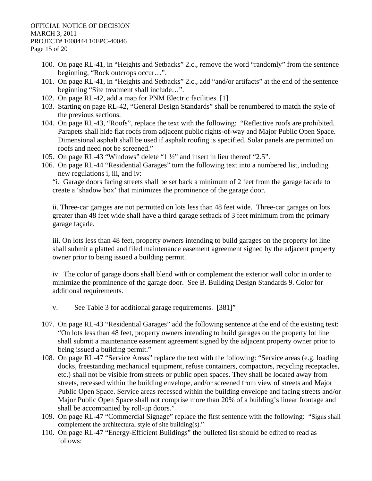- 100. On page RL-41, in "Heights and Setbacks" 2.c., remove the word "randomly" from the sentence beginning, "Rock outcrops occur…".
- 101. On page RL-41, in "Heights and Setbacks" 2.c., add "and/or artifacts" at the end of the sentence beginning "Site treatment shall include…".
- 102. On page RL-42, add a map for PNM Electric facilities. [1]
- 103. Starting on page RL-42, "General Design Standards" shall be renumbered to match the style of the previous sections.
- 104. On page RL-43, "Roofs", replace the text with the following: "Reflective roofs are prohibited. Parapets shall hide flat roofs from adjacent public rights-of-way and Major Public Open Space. Dimensional asphalt shall be used if asphalt roofing is specified. Solar panels are permitted on roofs and need not be screened."
- 105. On page RL-43 "Windows" delete "1 ½" and insert in lieu thereof "2.5".
- 106. On page RL-44 "Residential Garages" turn the following text into a numbered list, including new regulations i, iii, and iv:

"i. Garage doors facing streets shall be set back a minimum of 2 feet from the garage facade to create a 'shadow box' that minimizes the prominence of the garage door.

ii. Three-car garages are not permitted on lots less than 48 feet wide. Three-car garages on lots greater than 48 feet wide shall have a third garage setback of 3 feet minimum from the primary garage façade.

iii. On lots less than 48 feet, property owners intending to build garages on the property lot line shall submit a platted and filed maintenance easement agreement signed by the adjacent property owner prior to being issued a building permit.

iv. The color of garage doors shall blend with or complement the exterior wall color in order to minimize the prominence of the garage door. See B. Building Design Standards 9. Color for additional requirements.

- v. See Table 3 for additional garage requirements. [381]"
- 107. On page RL-43 "Residential Garages" add the following sentence at the end of the existing text: "On lots less than 48 feet, property owners intending to build garages on the property lot line shall submit a maintenance easement agreement signed by the adjacent property owner prior to being issued a building permit."
- 108. On page RL-47 "Service Areas" replace the text with the following: "Service areas (e.g. loading docks, freestanding mechanical equipment, refuse containers, compactors, recycling receptacles, etc.) shall not be visible from streets or public open spaces. They shall be located away from streets, recessed within the building envelope, and/or screened from view of streets and Major Public Open Space. Service areas recessed within the building envelope and facing streets and/or Major Public Open Space shall not comprise more than 20% of a building's linear frontage and shall be accompanied by roll-up doors."
- 109. On page RL-47 "Commercial Signage" replace the first sentence with the following: "Signs shall complement the architectural style of site building(s)."
- 110. On page RL-47 "Energy-Efficient Buildings" the bulleted list should be edited to read as follows: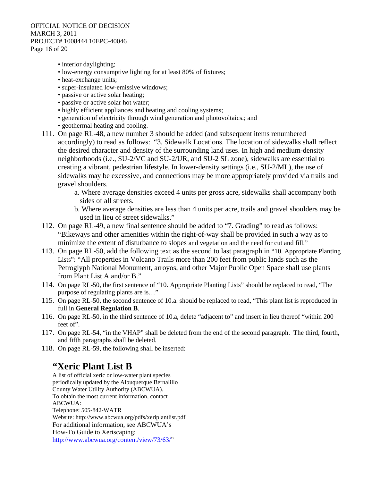#### OFFICIAL NOTICE OF DECISION MARCH 3, 2011 PROJECT# 1008444 10EPC-40046 Page 16 of 20

- interior daylighting;
- low-energy consumptive lighting for at least 80% of fixtures;
- heat-exchange units;
- super-insulated low-emissive windows;
- passive or active solar heating;
- passive or active solar hot water;
- highly efficient appliances and heating and cooling systems;
- generation of electricity through wind generation and photovoltaics.; and
- geothermal heating and cooling.
- 111. On page RL-48, a new number 3 should be added (and subsequent items renumbered accordingly) to read as follows: "3. Sidewalk Locations. The location of sidewalks shall reflect the desired character and density of the surrounding land uses. In high and medium-density neighborhoods (i.e., SU-2/VC and SU-2/UR, and SU-2 SL zone), sidewalks are essential to creating a vibrant, pedestrian lifestyle. In lower-density settings (i.e., SU-2/ML), the use of sidewalks may be excessive, and connections may be more appropriately provided via trails and gravel shoulders.
	- a. Where average densities exceed 4 units per gross acre, sidewalks shall accompany both sides of all streets.
	- b. Where average densities are less than 4 units per acre, trails and gravel shoulders may be used in lieu of street sidewalks."
- 112. On page RL-49, a new final sentence should be added to "7. Grading" to read as follows: "Bikeways and other amenities within the right-of-way shall be provided in such a way as to minimize the extent of disturbance to slopes and vegetation and the need for cut and fill."
- 113. On page RL-50, add the following text as the second to last paragraph in "10. Appropriate Planting Lists": "All properties in Volcano Trails more than 200 feet from public lands such as the Petroglyph National Monument, arroyos, and other Major Public Open Space shall use plants from Plant List A and/or B."
- 114. On page RL-50, the first sentence of "10. Appropriate Planting Lists" should be replaced to read, "The purpose of regulating plants are is…"
- 115. On page RL-50, the second sentence of 10.a. should be replaced to read, "This plant list is reproduced in full in **General Regulation B**.
- 116. On page RL-50, in the third sentence of 10.a, delete "adjacent to" and insert in lieu thereof "within 200 feet of".
- 117. On page RL-54, "in the VHAP" shall be deleted from the end of the second paragraph. The third, fourth, and fifth paragraphs shall be deleted.
- 118. On page RL-59, the following shall be inserted:

# **"Xeric Plant List B**

A list of official xeric or low-water plant species periodically updated by the Albuquerque Bernalillo County Water Utility Authority (ABCWUA). To obtain the most current information, contact ABCWUA: Telephone: 505-842-WATR Website: http://www.abcwua.org/pdfs/xeriplantlist.pdf For additional information, see ABCWUA's How-To Guide to Xeriscaping: http://www.abcwua.org/content/view/73/63/"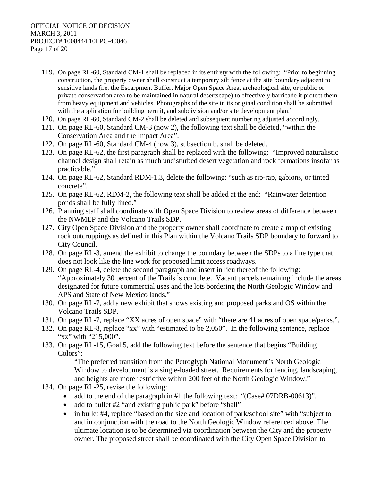- 119. On page RL-60, Standard CM-1 shall be replaced in its entirety with the following: "Prior to beginning construction, the property owner shall construct a temporary silt fence at the site boundary adjacent to sensitive lands (i.e. the Escarpment Buffer, Major Open Space Area, archeological site, or public or private conservation area to be maintained in natural desertscape) to effectively barricade it protect them from heavy equipment and vehicles. Photographs of the site in its original condition shall be submitted with the application for building permit, and subdivision and/or site development plan."
- 120. On page RL-60, Standard CM-2 shall be deleted and subsequent numbering adjusted accordingly.
- 121. On page RL-60, Standard CM-3 (now 2), the following text shall be deleted, "within the Conservation Area and the Impact Area".
- 122. On page RL-60, Standard CM-4 (now 3), subsection b. shall be deleted.
- 123. On page RL-62, the first paragraph shall be replaced with the following: "Improved naturalistic channel design shall retain as much undisturbed desert vegetation and rock formations insofar as practicable."
- 124. On page RL-62, Standard RDM-1.3, delete the following: "such as rip-rap, gabions, or tinted concrete".
- 125. On page RL-62, RDM-2, the following text shall be added at the end: "Rainwater detention ponds shall be fully lined."
- 126. Planning staff shall coordinate with Open Space Division to review areas of difference between the NWMEP and the Volcano Trails SDP.
- 127. City Open Space Division and the property owner shall coordinate to create a map of existing rock outcroppings as defined in this Plan within the Volcano Trails SDP boundary to forward to City Council.
- 128. On page RL-3, amend the exhibit to change the boundary between the SDPs to a line type that does not look like the line work for proposed limit access roadways.
- 129. On page RL-4, delete the second paragraph and insert in lieu thereof the following: "Approximately 30 percent of the Trails is complete. Vacant parcels remaining include the areas designated for future commercial uses and the lots bordering the North Geologic Window and APS and State of New Mexico lands."
- 130. On page RL-7, add a new exhibit that shows existing and proposed parks and OS within the Volcano Trails SDP.
- 131. On page RL-7, replace "XX acres of open space" with "there are 41 acres of open space/parks,".
- 132. On page RL-8, replace "xx" with "estimated to be 2,050". In the following sentence, replace "xx" with "215,000".
- 133. On page RL-15, Goal 5, add the following text before the sentence that begins "Building Colors":

"The preferred transition from the Petroglyph National Monument's North Geologic Window to development is a single-loaded street. Requirements for fencing, landscaping, and heights are more restrictive within 200 feet of the North Geologic Window."

- 134. On page RL-25, revise the following:
	- add to the end of the paragraph in  $#1$  the following text: "(Case# 07DRB-00613)".
	- add to bullet #2 "and existing public park" before "shall"
	- in bullet #4, replace "based on the size and location of park/school site" with "subject to and in conjunction with the road to the North Geologic Window referenced above. The ultimate location is to be determined via coordination between the City and the property owner. The proposed street shall be coordinated with the City Open Space Division to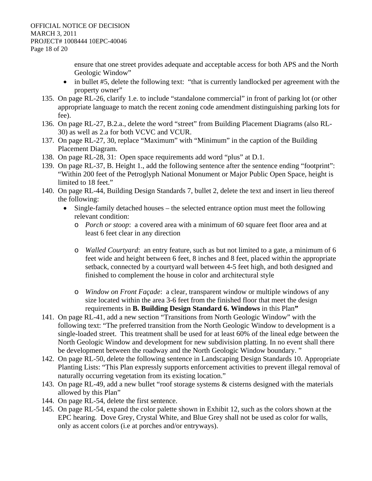ensure that one street provides adequate and acceptable access for both APS and the North Geologic Window"

- in bullet #5, delete the following text: "that is currently landlocked per agreement with the property owner"
- 135. On page RL-26, clarify 1.e. to include "standalone commercial" in front of parking lot (or other appropriate language to match the recent zoning code amendment distinguishing parking lots for fee).
- 136. On page RL-27, B.2.a., delete the word "street" from Building Placement Diagrams (also RL-30) as well as 2.a for both VCVC and VCUR.
- 137. On page RL-27, 30, replace "Maximum" with "Minimum" in the caption of the Building Placement Diagram.
- 138. On page RL-28, 31: Open space requirements add word "plus" at D.1.
- 139. On page RL-37, B. Height 1., add the following sentence after the sentence ending "footprint": "Within 200 feet of the Petroglyph National Monument or Major Public Open Space, height is limited to 18 feet."
- 140. On page RL-44, Building Design Standards 7, bullet 2, delete the text and insert in lieu thereof the following:
	- Single-family detached houses the selected entrance option must meet the following relevant condition:
		- o *Porch or stoop*: a covered area with a minimum of 60 square feet floor area and at least 6 feet clear in any direction
		- o *Walled Courtyard*: an entry feature, such as but not limited to a gate, a minimum of 6 feet wide and height between 6 feet, 8 inches and 8 feet, placed within the appropriate setback, connected by a courtyard wall between 4-5 feet high, and both designed and finished to complement the house in color and architectural style
		- o *Window on Front Façade*: a clear, transparent window or multiple windows of any size located within the area 3-6 feet from the finished floor that meet the design requirements in **B. Building Design Standard 6. Windows** in this Plan**"**
- 141. On page RL-41, add a new section "Transitions from North Geologic Window" with the following text: "The preferred transition from the North Geologic Window to development is a single-loaded street. This treatment shall be used for at least 60% of the lineal edge between the North Geologic Window and development for new subdivision platting. In no event shall there be development between the roadway and the North Geologic Window boundary. "
- 142. On page RL-50, delete the following sentence in Landscaping Design Standards 10. Appropriate Planting Lists: "This Plan expressly supports enforcement activities to prevent illegal removal of naturally occurring vegetation from its existing location."
- 143. On page RL-49, add a new bullet "roof storage systems & cisterns designed with the materials allowed by this Plan"
- 144. On page RL-54, delete the first sentence.
- 145. On page RL-54, expand the color palette shown in Exhibit 12, such as the colors shown at the EPC hearing. Dove Grey, Crystal White, and Blue Grey shall not be used as color for walls, only as accent colors (i.e at porches and/or entryways).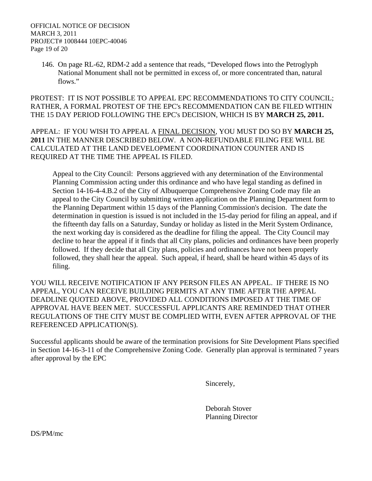146. On page RL-62, RDM-2 add a sentence that reads, "Developed flows into the Petroglyph National Monument shall not be permitted in excess of, or more concentrated than, natural flows."

#### PROTEST: IT IS NOT POSSIBLE TO APPEAL EPC RECOMMENDATIONS TO CITY COUNCIL; RATHER, A FORMAL PROTEST OF THE EPC's RECOMMENDATION CAN BE FILED WITHIN THE 15 DAY PERIOD FOLLOWING THE EPC's DECISION, WHICH IS BY **MARCH 25, 2011.**

APPEAL: IF YOU WISH TO APPEAL A FINAL DECISION, YOU MUST DO SO BY **MARCH 25, 2011** IN THE MANNER DESCRIBED BELOW. A NON-REFUNDABLE FILING FEE WILL BE CALCULATED AT THE LAND DEVELOPMENT COORDINATION COUNTER AND IS REQUIRED AT THE TIME THE APPEAL IS FILED.

Appeal to the City Council: Persons aggrieved with any determination of the Environmental Planning Commission acting under this ordinance and who have legal standing as defined in Section 14-16-4-4.B.2 of the City of Albuquerque Comprehensive Zoning Code may file an appeal to the City Council by submitting written application on the Planning Department form to the Planning Department within 15 days of the Planning Commission's decision. The date the determination in question is issued is not included in the 15-day period for filing an appeal, and if the fifteenth day falls on a Saturday, Sunday or holiday as listed in the Merit System Ordinance, the next working day is considered as the deadline for filing the appeal. The City Council may decline to hear the appeal if it finds that all City plans, policies and ordinances have been properly followed. If they decide that all City plans, policies and ordinances have not been properly followed, they shall hear the appeal. Such appeal, if heard, shall be heard within 45 days of its filing.

YOU WILL RECEIVE NOTIFICATION IF ANY PERSON FILES AN APPEAL. IF THERE IS NO APPEAL, YOU CAN RECEIVE BUILDING PERMITS AT ANY TIME AFTER THE APPEAL DEADLINE QUOTED ABOVE, PROVIDED ALL CONDITIONS IMPOSED AT THE TIME OF APPROVAL HAVE BEEN MET. SUCCESSFUL APPLICANTS ARE REMINDED THAT OTHER REGULATIONS OF THE CITY MUST BE COMPLIED WITH, EVEN AFTER APPROVAL OF THE REFERENCED APPLICATION(S).

Successful applicants should be aware of the termination provisions for Site Development Plans specified in Section 14-16-3-11 of the Comprehensive Zoning Code. Generally plan approval is terminated 7 years after approval by the EPC

Sincerely,

 Deborah Stover Planning Director